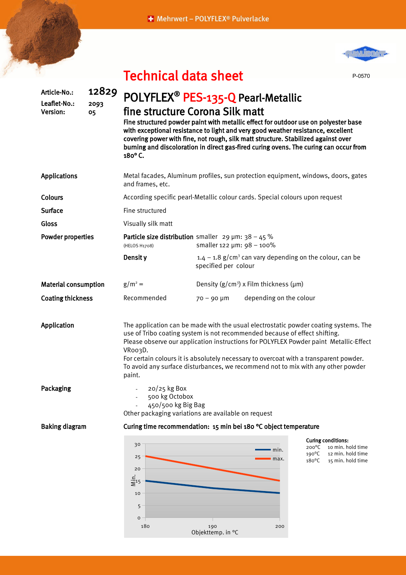## + Mehrwert - POLYFLEX<sup>®</sup> Pulverlacke



P-0570

## Technical data sheet

| 12829<br>2093<br>05         | POLYFLEX <sup>®</sup> PES-135-Q Pearl-Metallic<br>fine structure Corona Silk matt<br>Fine structured powder paint with metallic effect for outdoor use on polyester base<br>with exceptional resistance to light and very good weather resistance, excellent<br>covering power with fine, not rough, silk matt structure. Stabilized against over<br>burning and discoloration in direct gas-fired curing ovens. The curing can occur from<br>180°C. |                                                |                                             |                                                                                                                                                                                                                                                                                                                                                                                                                                                                                                                                                                                                          |
|-----------------------------|------------------------------------------------------------------------------------------------------------------------------------------------------------------------------------------------------------------------------------------------------------------------------------------------------------------------------------------------------------------------------------------------------------------------------------------------------|------------------------------------------------|---------------------------------------------|----------------------------------------------------------------------------------------------------------------------------------------------------------------------------------------------------------------------------------------------------------------------------------------------------------------------------------------------------------------------------------------------------------------------------------------------------------------------------------------------------------------------------------------------------------------------------------------------------------|
|                             | Metal facades, Aluminum profiles, sun protection equipment, windows, doors, gates<br>and frames, etc.                                                                                                                                                                                                                                                                                                                                                |                                                |                                             |                                                                                                                                                                                                                                                                                                                                                                                                                                                                                                                                                                                                          |
|                             | According specific pearl-Metallic colour cards. Special colours upon request                                                                                                                                                                                                                                                                                                                                                                         |                                                |                                             |                                                                                                                                                                                                                                                                                                                                                                                                                                                                                                                                                                                                          |
|                             | Fine structured                                                                                                                                                                                                                                                                                                                                                                                                                                      |                                                |                                             |                                                                                                                                                                                                                                                                                                                                                                                                                                                                                                                                                                                                          |
|                             | Visually silk matt                                                                                                                                                                                                                                                                                                                                                                                                                                   |                                                |                                             |                                                                                                                                                                                                                                                                                                                                                                                                                                                                                                                                                                                                          |
| <b>Powder properties</b>    | Particle size distribution smaller $29 \mu m$ : 38 - 45 %<br>smaller 122 µm: 98 - 100%<br>(HELOS H1708)                                                                                                                                                                                                                                                                                                                                              |                                                |                                             |                                                                                                                                                                                                                                                                                                                                                                                                                                                                                                                                                                                                          |
|                             | Densit y                                                                                                                                                                                                                                                                                                                                                                                                                                             |                                                |                                             |                                                                                                                                                                                                                                                                                                                                                                                                                                                                                                                                                                                                          |
| <b>Material consumption</b> | $g/m^2 =$                                                                                                                                                                                                                                                                                                                                                                                                                                            | Density $(g/cm^3)$ x Film thickness ( $\mu$ m) |                                             |                                                                                                                                                                                                                                                                                                                                                                                                                                                                                                                                                                                                          |
| <b>Coating thickness</b>    | Recommended                                                                                                                                                                                                                                                                                                                                                                                                                                          | $70 - 90 \mu m$                                | depending on the colour                     |                                                                                                                                                                                                                                                                                                                                                                                                                                                                                                                                                                                                          |
|                             | VRoo3D.<br>paint.                                                                                                                                                                                                                                                                                                                                                                                                                                    |                                                |                                             |                                                                                                                                                                                                                                                                                                                                                                                                                                                                                                                                                                                                          |
|                             | $20/25$ kg Box                                                                                                                                                                                                                                                                                                                                                                                                                                       |                                                |                                             |                                                                                                                                                                                                                                                                                                                                                                                                                                                                                                                                                                                                          |
| <b>Baking diagram</b>       | Curing time recommendation: 15 min bei 180 °C object temperature                                                                                                                                                                                                                                                                                                                                                                                     |                                                |                                             |                                                                                                                                                                                                                                                                                                                                                                                                                                                                                                                                                                                                          |
|                             | 30<br>25<br>20<br>$\frac{1}{5}$ <sup>15</sup><br>10<br>5<br>$\mathsf{o}$                                                                                                                                                                                                                                                                                                                                                                             |                                                | min.<br>max.                                | <b>Curing conditions:</b><br>$200^{\circ}$ C<br>10 min. hold time<br>$190^{\circ}$ C<br>12 min. hold time<br>$180^{\circ}$ C<br>15 min. hold time                                                                                                                                                                                                                                                                                                                                                                                                                                                        |
|                             |                                                                                                                                                                                                                                                                                                                                                                                                                                                      | 180                                            | 500 kg Octobox<br>450/500 kg Big Bag<br>190 | $1.4 - 1.8$ g/cm <sup>3</sup> can vary depending on the colour, can be<br>specified per colour<br>The application can be made with the usual electrostatic powder coating systems. The<br>use of Tribo coating system is not recommended because of effect shifting.<br>Please observe our application instructions for POLYFLEX Powder paint Metallic-Effect<br>For certain colours it is absolutely necessary to overcoat with a transparent powder.<br>To avoid any surface disturbances, we recommend not to mix with any other powder<br>Other packaging variations are available on request<br>200 |

Objekttemp. in °C